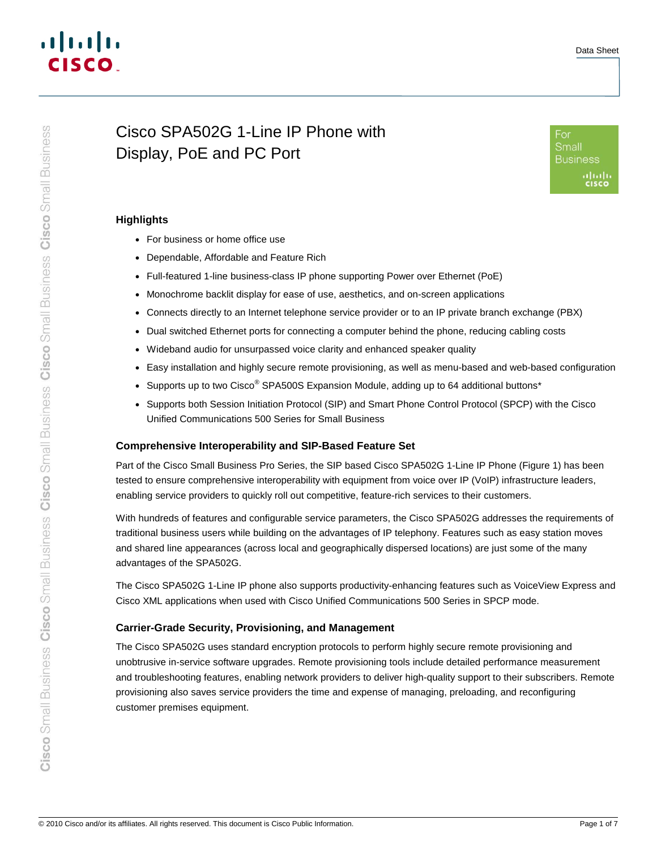# Cisco Small Business Cisco Small Business Cisco Small Business Cisco Small Business Cisco Small Business

# Cisco SPA502G 1-Line IP Phone with Display, PoE and PC Port



# **Highlights**

- For business or home office use
- Dependable, Affordable and Feature Rich
- Full-featured 1-line business-class IP phone supporting Power over Ethernet (PoE)
- Monochrome backlit display for ease of use, aesthetics, and on-screen applications
- Connects directly to an Internet telephone service provider or to an IP private branch exchange (PBX)
- Dual switched Ethernet ports for connecting a computer behind the phone, reducing cabling costs
- Wideband audio for unsurpassed voice clarity and enhanced speaker quality
- Easy installation and highly secure remote provisioning, as well as menu-based and web-based configuration
- Supports up to two Cisco<sup>®</sup> SPA500S Expansion Module, adding up to 64 additional buttons\*
- Supports both Session Initiation Protocol (SIP) and Smart Phone Control Protocol (SPCP) with the Cisco Unified Communications 500 Series for Small Business

# **Comprehensive Interoperability and SIP-Based Feature Set**

Part of the Cisco Small Business Pro Series, the SIP based Cisco SPA502G 1-Line IP Phone (Figure 1) has been tested to ensure comprehensive interoperability with equipment from voice over IP (VoIP) infrastructure leaders, enabling service providers to quickly roll out competitive, feature-rich services to their customers.

With hundreds of features and configurable service parameters, the Cisco SPA502G addresses the requirements of traditional business users while building on the advantages of IP telephony. Features such as easy station moves and shared line appearances (across local and geographically dispersed locations) are just some of the many advantages of the SPA502G.

The Cisco SPA502G 1-Line IP phone also supports productivity-enhancing features such as VoiceView Express and Cisco XML applications when used with Cisco Unified Communications 500 Series in SPCP mode.

# **Carrier-Grade Security, Provisioning, and Management**

The Cisco SPA502G uses standard encryption protocols to perform highly secure remote provisioning and unobtrusive in-service software upgrades. Remote provisioning tools include detailed performance measurement and troubleshooting features, enabling network providers to deliver high-quality support to their subscribers. Remote provisioning also saves service providers the time and expense of managing, preloading, and reconfiguring customer premises equipment.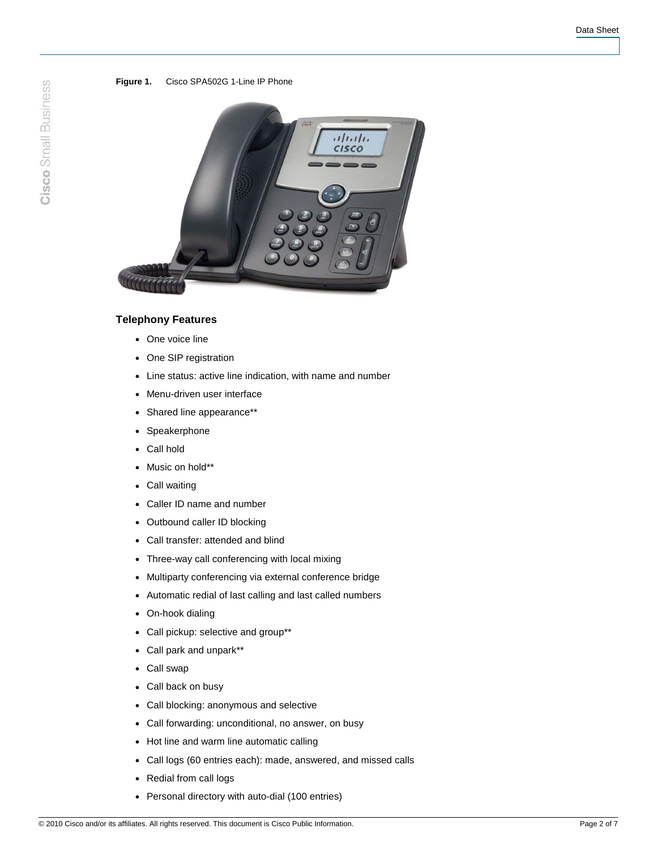### **Figure 1.** Cisco SPA502G 1-Line IP Phone



# **Telephony Features**

- One voice line
- One SIP registration
- Line status: active line indication, with name and number
- Menu-driven user interface
- Shared line appearance\*\*
- Speakerphone
- Call hold
- Music on hold\*\*
- Call waiting
- Caller ID name and number
- Outbound caller ID blocking
- Call transfer: attended and blind
- Three-way call conferencing with local mixing
- Multiparty conferencing via external conference bridge
- Automatic redial of last calling and last called numbers
- On-hook dialing
- Call pickup: selective and group\*\*
- Call park and unpark\*\*
- Call swap
- Call back on busy
- Call blocking: anonymous and selective
- Call forwarding: unconditional, no answer, on busy
- Hot line and warm line automatic calling
- Call logs (60 entries each): made, answered, and missed calls
- Redial from call logs
- Personal directory with auto-dial (100 entries)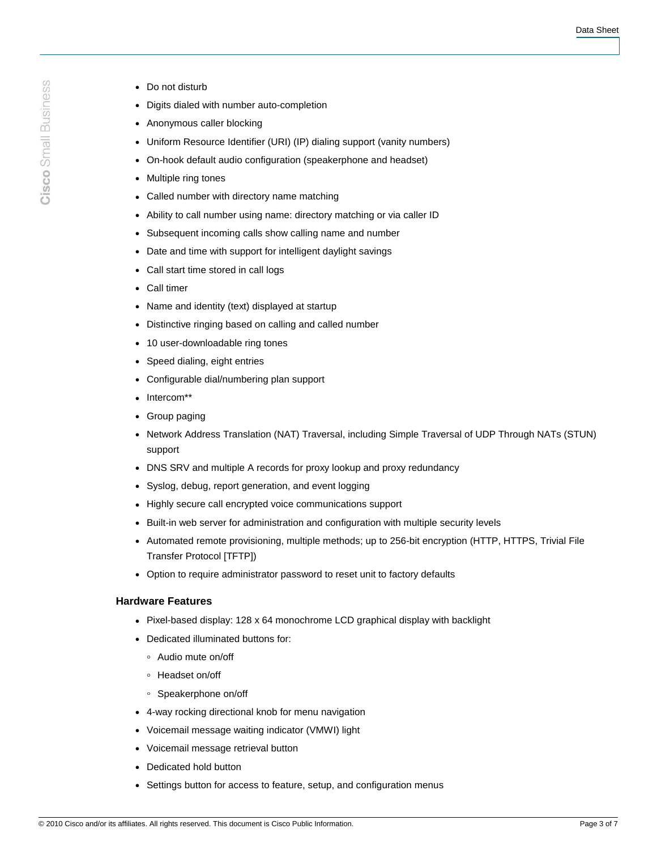- Cisco Small Business
- Do not disturb
- Digits dialed with number auto-completion
- Anonymous caller blocking
- Uniform Resource Identifier (URI) (IP) dialing support (vanity numbers)
- On-hook default audio configuration (speakerphone and headset)
- Multiple ring tones
- Called number with directory name matching
- Ability to call number using name: directory matching or via caller ID
- Subsequent incoming calls show calling name and number
- Date and time with support for intelligent daylight savings
- Call start time stored in call logs
- Call timer
- Name and identity (text) displayed at startup
- Distinctive ringing based on calling and called number
- 10 user-downloadable ring tones
- Speed dialing, eight entries
- Configurable dial/numbering plan support
- Intercom\*\*
- Group paging
- Network Address Translation (NAT) Traversal, including Simple Traversal of UDP Through NATs (STUN) support
- DNS SRV and multiple A records for proxy lookup and proxy redundancy
- Syslog, debug, report generation, and event logging
- Highly secure call encrypted voice communications support
- Built-in web server for administration and configuration with multiple security levels
- Automated remote provisioning, multiple methods; up to 256-bit encryption (HTTP, HTTPS, Trivial File Transfer Protocol [TFTP])
- Option to require administrator password to reset unit to factory defaults

## **Hardware Features**

- Pixel-based display: 128 x 64 monochrome LCD graphical display with backlight
- Dedicated illuminated buttons for:
	- Audio mute on/off
	- Headset on/off
	- Speakerphone on/off
- 4-way rocking directional knob for menu navigation
- Voicemail message waiting indicator (VMWI) light
- Voicemail message retrieval button
- Dedicated hold button
- Settings button for access to feature, setup, and configuration menus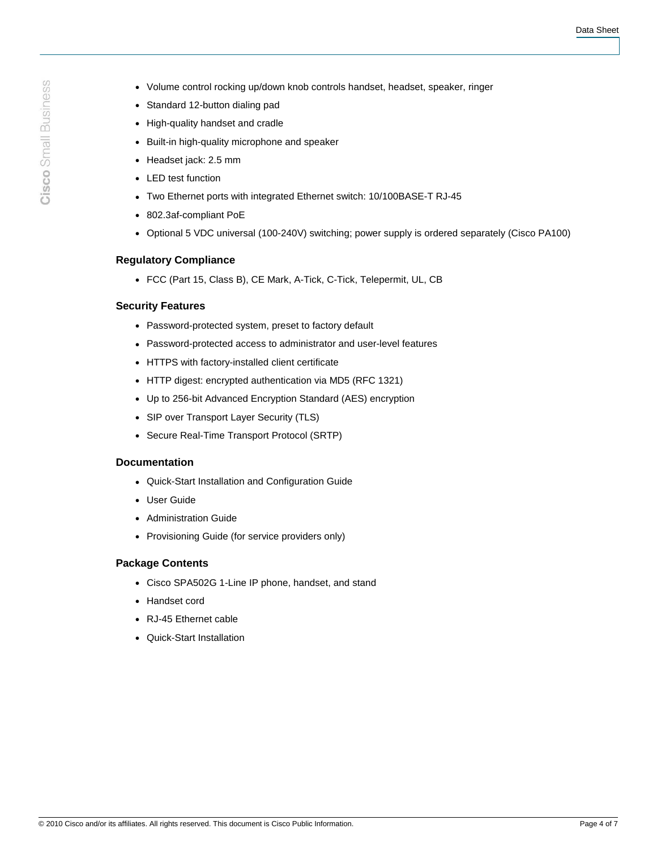- Volume control rocking up/down knob controls handset, headset, speaker, ringer
- Standard 12-button dialing pad
- High-quality handset and cradle
- Built-in high-quality microphone and speaker
- Headset jack: 2.5 mm
- LED test function
- Two Ethernet ports with integrated Ethernet switch: 10/100BASE-T RJ-45
- 802.3af-compliant PoE
- Optional 5 VDC universal (100-240V) switching; power supply is ordered separately (Cisco PA100)

# **Regulatory Compliance**

● FCC (Part 15, Class B), CE Mark, A-Tick, C-Tick, Telepermit, UL, CB

# **Security Features**

- Password-protected system, preset to factory default
- Password-protected access to administrator and user-level features
- HTTPS with factory-installed client certificate
- HTTP digest: encrypted authentication via MD5 (RFC 1321)
- Up to 256-bit Advanced Encryption Standard (AES) encryption
- SIP over Transport Layer Security (TLS)
- Secure Real-Time Transport Protocol (SRTP)

### **Documentation**

- Quick-Start Installation and Configuration Guide
- User Guide
- Administration Guide
- Provisioning Guide (for service providers only)

# **Package Contents**

- Cisco SPA502G 1-Line IP phone, handset, and stand
- Handset cord
- RJ-45 Ethernet cable
- Quick-Start Installation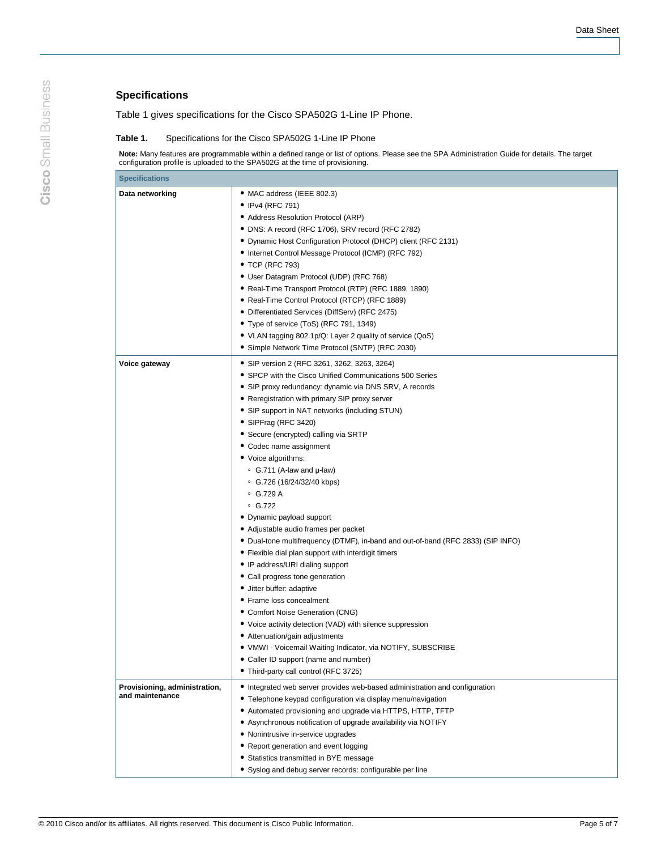# **Specifications**

Table 1 gives specifications for the Cisco SPA502G 1-Line IP Phone.

### **Table 1.** Specifications for the Cisco SPA502G 1-Line IP Phone

**Note:** Many features are programmable within a defined range or list of options. Please see the SPA Administration Guide for details. The target configuration profile is uploaded to the SPA502G at the time of provisioning.

| <b>Specifications</b>                            |                                                                                                                                                                                                                                                                                                                                                                                                                                                                                                                                                                                                                                                                                                                                                                                                                                                                                                                                                                                                                                                                                                                                              |
|--------------------------------------------------|----------------------------------------------------------------------------------------------------------------------------------------------------------------------------------------------------------------------------------------------------------------------------------------------------------------------------------------------------------------------------------------------------------------------------------------------------------------------------------------------------------------------------------------------------------------------------------------------------------------------------------------------------------------------------------------------------------------------------------------------------------------------------------------------------------------------------------------------------------------------------------------------------------------------------------------------------------------------------------------------------------------------------------------------------------------------------------------------------------------------------------------------|
| Data networking                                  | • MAC address (IEEE 802.3)<br>• IPv4 (RFC 791)<br>• Address Resolution Protocol (ARP)<br>• DNS: A record (RFC 1706), SRV record (RFC 2782)<br>• Dynamic Host Configuration Protocol (DHCP) client (RFC 2131)<br>• Internet Control Message Protocol (ICMP) (RFC 792)<br>• TCP (RFC 793)<br>• User Datagram Protocol (UDP) (RFC 768)<br>• Real-Time Transport Protocol (RTP) (RFC 1889, 1890)<br>· Real-Time Control Protocol (RTCP) (RFC 1889)<br>• Differentiated Services (DiffServ) (RFC 2475)<br>• Type of service (ToS) (RFC 791, 1349)<br>• VLAN tagging 802.1p/Q: Layer 2 quality of service (QoS)<br>• Simple Network Time Protocol (SNTP) (RFC 2030)                                                                                                                                                                                                                                                                                                                                                                                                                                                                                |
| Voice gateway                                    | • SIP version 2 (RFC 3261, 3262, 3263, 3264)<br>• SPCP with the Cisco Unified Communications 500 Series<br>• SIP proxy redundancy: dynamic via DNS SRV, A records<br>• Reregistration with primary SIP proxy server<br>• SIP support in NAT networks (including STUN)<br>• SIPFrag (RFC 3420)<br>• Secure (encrypted) calling via SRTP<br>• Codec name assignment<br>• Voice algorithms:<br>$\degree$ G.711 (A-law and $\mu$ -law)<br>• G.726 (16/24/32/40 kbps)<br>$\degree$ G.729 A<br>$\degree$ G.722<br>• Dynamic payload support<br>· Adjustable audio frames per packet<br>• Dual-tone multifrequency (DTMF), in-band and out-of-band (RFC 2833) (SIP INFO)<br>• Flexible dial plan support with interdigit timers<br>• IP address/URI dialing support<br>• Call progress tone generation<br>• Jitter buffer: adaptive<br>• Frame loss concealment<br>• Comfort Noise Generation (CNG)<br>• Voice activity detection (VAD) with silence suppression<br>• Attenuation/gain adjustments<br>• VMWI - Voicemail Waiting Indicator, via NOTIFY, SUBSCRIBE<br>• Caller ID support (name and number)<br>• Third-party call control (RFC 3725) |
| Provisioning, administration,<br>and maintenance | • Integrated web server provides web-based administration and configuration<br>• Telephone keypad configuration via display menu/navigation<br>• Automated provisioning and upgrade via HTTPS, HTTP, TFTP<br>• Asynchronous notification of upgrade availability via NOTIFY<br>• Nonintrusive in-service upgrades<br>• Report generation and event logging<br>• Statistics transmitted in BYE message<br>• Syslog and debug server records: configurable per line                                                                                                                                                                                                                                                                                                                                                                                                                                                                                                                                                                                                                                                                            |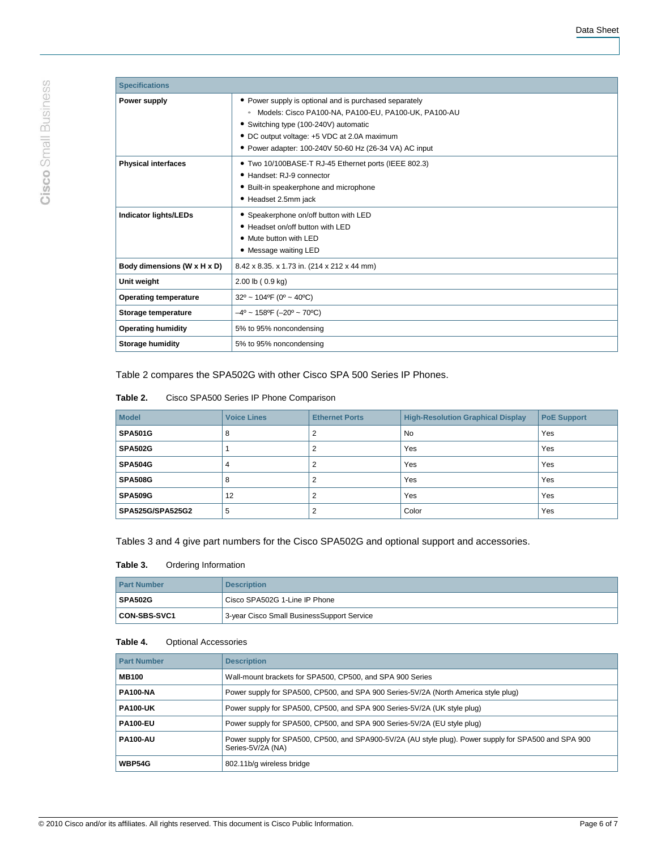| <b>Specifications</b>        |                                                                                                                                                                                                                                                                             |
|------------------------------|-----------------------------------------------------------------------------------------------------------------------------------------------------------------------------------------------------------------------------------------------------------------------------|
| Power supply                 | • Power supply is optional and is purchased separately<br>Models: Cisco PA100-NA, PA100-EU, PA100-UK, PA100-AU<br>$\circ$<br>• Switching type (100-240V) automatic<br>• DC output voltage: +5 VDC at 2.0A maximum<br>• Power adapter: 100-240V 50-60 Hz (26-34 VA) AC input |
| <b>Physical interfaces</b>   | • Two 10/100BASE-T RJ-45 Ethernet ports (IEEE 802.3)<br>• Handset: RJ-9 connector<br>• Built-in speakerphone and microphone<br>• Headset 2.5mm jack                                                                                                                         |
| <b>Indicator lights/LEDs</b> | • Speakerphone on/off button with LED<br>• Headset on/off button with LED<br>• Mute button with LED<br>• Message waiting LED                                                                                                                                                |
| Body dimensions (W x H x D)  | 8.42 x 8.35. x 1.73 in. (214 x 212 x 44 mm)                                                                                                                                                                                                                                 |
| Unit weight                  | 2.00 lb (0.9 kg)                                                                                                                                                                                                                                                            |
| <b>Operating temperature</b> | $32^{\circ}$ ~ 104°F (0° ~ 40°C)                                                                                                                                                                                                                                            |
| Storage temperature          | $-4^{\circ}$ ~ 158°F (-20° ~ 70°C)                                                                                                                                                                                                                                          |
| <b>Operating humidity</b>    | 5% to 95% noncondensing                                                                                                                                                                                                                                                     |
| <b>Storage humidity</b>      | 5% to 95% noncondensing                                                                                                                                                                                                                                                     |

Table 2 compares the SPA502G with other Cisco SPA 500 Series IP Phones.

| Table 2. | Cisco SPA500 Series IP Phone Comparison |
|----------|-----------------------------------------|
|          |                                         |

| <b>Model</b>            | <b>Voice Lines</b> | <b>Ethernet Ports</b> | <b>High-Resolution Graphical Display</b> | <b>PoE Support</b> |
|-------------------------|--------------------|-----------------------|------------------------------------------|--------------------|
| <b>SPA501G</b>          | 8                  |                       | <b>No</b>                                | Yes                |
| <b>SPA502G</b>          |                    |                       | Yes                                      | Yes                |
| <b>SPA504G</b>          | 4                  |                       | Yes                                      | Yes                |
| <b>SPA508G</b>          | 8                  |                       | Yes                                      | Yes                |
| <b>SPA509G</b>          | 12                 |                       | Yes                                      | Yes                |
| <b>SPA525G/SPA525G2</b> | 5                  |                       | Color                                    | Yes                |

Tables 3 and 4 give part numbers for the Cisco SPA502G and optional support and accessories.

# **Table 3.** Ordering Information

| <b>Part Number</b>  | <b>Description</b>                         |
|---------------------|--------------------------------------------|
| <b>SPA502G</b>      | Cisco SPA502G 1-Line IP Phone              |
| <b>CON-SBS-SVC1</b> | 3-year Cisco Small BusinessSupport Service |

# **Table 4.** Optional Accessories

| <b>Part Number</b> | <b>Description</b>                                                                                                         |
|--------------------|----------------------------------------------------------------------------------------------------------------------------|
| <b>MB100</b>       | Wall-mount brackets for SPA500, CP500, and SPA 900 Series                                                                  |
| <b>PA100-NA</b>    | Power supply for SPA500, CP500, and SPA 900 Series-5V/2A (North America style plug)                                        |
| <b>PA100-UK</b>    | Power supply for SPA500, CP500, and SPA 900 Series-5V/2A (UK style plug)                                                   |
| <b>PA100-EU</b>    | Power supply for SPA500, CP500, and SPA 900 Series-5V/2A (EU style plug)                                                   |
| <b>PA100-AU</b>    | Power supply for SPA500, CP500, and SPA900-5V/2A (AU style plug). Power supply for SPA500 and SPA 900<br>Series-5V/2A (NA) |
| <b>WBP54G</b>      | 802.11b/g wireless bridge                                                                                                  |